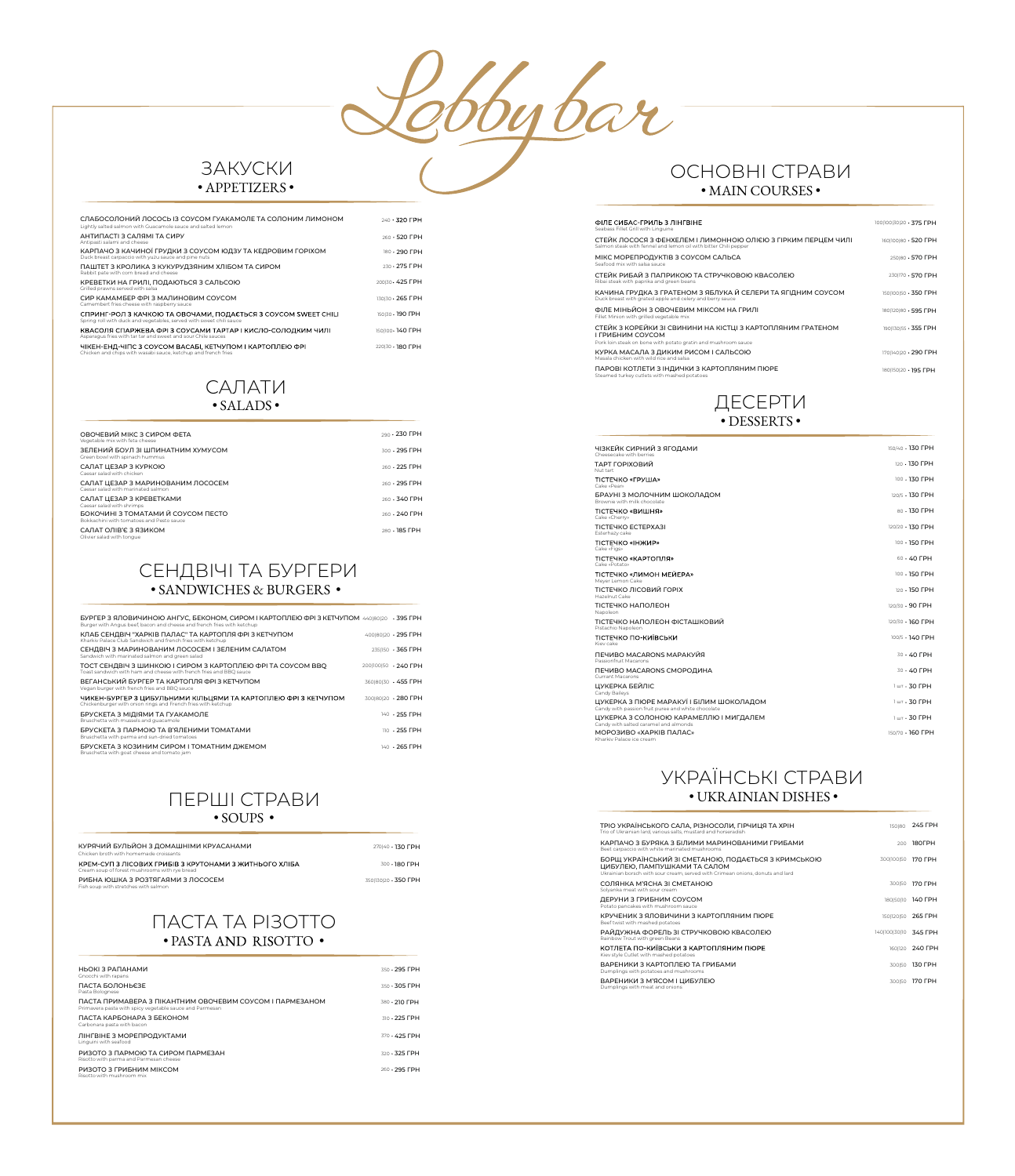bybar

## **ЗАКУСКИ** · APPETIZERS ·

| СЛАБОСОЛОНИЙ ЛОСОСЬ ІЗ СОУСОМ ГУАКАМОЛЕ ТА СОЛОНИМ ЛИМОНОМ<br>Lightly salted salmon with Guacamole sauce and salted lemon             | 240 · 320 FPH     |
|---------------------------------------------------------------------------------------------------------------------------------------|-------------------|
| АНТИПАСТІ З САЛЯМІ ТА СИРУ<br>Antipasti salami and cheese                                                                             | 260 · 520 FPH     |
| КАРПАЧО З КАЧИНОЇ ГРУДКИ З СОУСОМ ЮДЗУ ТА КЕДРОВИМ ГОРІХОМ<br>Duck breast carpaccio with yuzu sauce and pine nuts                     | 180 · 290 FPH     |
| ПАШТЕТ З КРОЛИКА З КУКУРУДЗЯНИМ ХЛІБОМ ТА СИРОМ<br>Rabbit pate with corn bread and cheese                                             | 230 . 275 FPH     |
| КРЕВЕТКИ НА ГРИЛІ, ПОДАЮТЬСЯ З САЛЬСОЮ<br>Grilled prawns served with salsa                                                            | 200130 · 425 ГРН  |
| СИР КАМАМБЕР ФРІЗ МАЛИНОВИМ СОУСОМ<br>Camembert fries cheese with raspberry sauce                                                     | 130130 · 265 ГРН  |
| СПРИНГ-РОЛ З КАЧКОЮ ТА ОВОЧАМИ, ПОДАЄТЬСЯ З СОУСОМ SWEET CHILI<br>Spring roll with duck and vegetables, served with sweet chili sauce | 150130 · 190 ГРН  |
| КВАСОЛЯ СПАРЖЕВА ФРІ З СОУСАМИ ТАРТАР І КИСЛО-СОЛОДКИМ ЧИЛІ<br>Asparagus fries with tar tar and sweet and sour Chile sauces           | 1501100 - 140 FPH |
| ЧІКЕН-ЕНД-ЧІПС З СОУСОМ ВАСАБІ, КЕТЧУПОМ І КАРТОПЛЕЮ ФРІ                                                                              | 220130 - 180 FPH  |

#### САЛАТИ  $\cdot$  SALADS $\cdot$

| ОВОЧЕВИЙ МІКС З СИРОМ ФЕТА<br>Vegetable mix with feta cheese                                                      | 290 · 230 FPH       |
|-------------------------------------------------------------------------------------------------------------------|---------------------|
| ЗЕЛЕНИЙ БОУЛ ЗІ ШПИНАТНИМ ХУМУСОМ<br>Green bowl with spinach hummus                                               | $300 \cdot 295$ FPH |
| САЛАТ ЦЕЗАР З КУРКОЮ<br>Caesar salad with chicken                                                                 | $260 + 225$ FPH     |
| САЛАТ ЦЕЗАР З МАРИНОВАНИМ ЛОСОСЕМ<br>Caesar salad with marinated salmon                                           | $260 + 295$ FPH     |
| САЛАТ ЦЕЗАР З КРЕВЕТКАМИ<br>Caesar salad with shrimps                                                             | $260 \cdot 340$ FPH |
| БОКОЧИНІ З ТОМАТАМИ Й СОУСОМ ПЕСТО<br>Bokkachini with tomatoes and Pesto sauce.                                   | 260 · 240 FPH       |
| САЛАТ ОЛІВ'Є З ЯЗИКОМ<br>contract the contract of the contract of the contract of the contract of the contract of | 280 · 185 FPH       |

## СЕНДВІЧІ ТА БУРГЕРИ · SANDWICHES & BURGERS ·

| БУРГЕР З ЯЛОВИЧИНОЮ АНГУС. БЕКОНОМ. СИРОМ І КАРТОПЛЕЮ ФРІ З КЕТЧУПОМ 440180120 395 ГРН<br>Burger with Angus beef, bacon and cheese and french fries with ketchup |                     |
|------------------------------------------------------------------------------------------------------------------------------------------------------------------|---------------------|
| КЛАБ СЕНДВІЧ "ХАРКІВ ПАЛАС" ТА КАРТОПЛЯ ФРІ З КЕТЧУПОМ<br>Kharkiv Palace Club Sandwich and french fries with ketchup                                             | 400180120 · 295 FPH |
| СЕНДВІЧ З МАРИНОВАНИМ ЛОСОСЕМ І ЗЕЛЕНИМ САЛАТОМ<br>Sandwich with marinated salmon and green salad                                                                | 2351150 · 365 FPH   |
| ТОСТ СЕНДВІЧ З ШИНКОЮ І СИРОМ З КАРТОПЛЕЮ ФРІ ТА СОУСОМ ВВО<br>Toast sandwich with ham and cheese with french fries and BBO sauce                                | 200100150 · 240 FPH |
| ВЕГАНСЬКИЙ БУРГЕР ТА КАРТОПЛЯ ФРІЗ КЕТЧУПОМ<br>Vegan burger with french fries and BBO sauce                                                                      | 360180130 · 455 FPH |
| ЧИКЕН-БУРГЕР З ЦИБУЛЬНИМИ КІЛЬЦЯМИ ТА КАРТОПЛЕЮ ФРІ З КЕТЧУПОМ<br>Chickenburger with onion rings and French fries with ketchup                                   | 300180120 · 280 FPH |
| БРУСКЕТА З МІДІЯМИ ТА ГУАКАМОЛЕ<br>Bruschetta with mussels and quacamole                                                                                         | 140 · 255 FPH       |
| БРУСКЕТА З ПАРМОЮ ТА В'ЯЛЕНИМИ ТОМАТАМИ<br>Bruschetta with parma and sun-dried tomatoes                                                                          | $110 + 255$ FPH     |
| БРУСКЕТА З КОЗИНИМ СИРОМ І ТОМАТНИМ ДЖЕМОМ<br>Bruschetta with goat cheese and tomato iam                                                                         | 140 · 265 FPH       |
|                                                                                                                                                                  |                     |

## ПЕРШІ СТРАВИ  $\cdot$  SOUPS  $\cdot$

| КУРЯЧИЙ БУЛЬЙОН З ДОМАШНІМИ КРУАСАНАМИ<br>Chicken broth with homemade croissants                        | 270140 · 130 FPH    |
|---------------------------------------------------------------------------------------------------------|---------------------|
| КРЕМ-СУП З ЛІСОВИХ ГРИБІВ З КРУТОНАМИ З ЖИТНЬОГО ХЛІБА<br>Cream soup of forest mushrooms with rve bread | 300 · 180 FPH       |
| РИБНА ЮШКА З РОЗТЯГАЯМИ З ЛОСОСЕМ                                                                       | 350130120 · 350 FPH |

## **NACTA TA PI3OTTO**  $\bullet$  PASTA AND RISOTTO  $\bullet$

| НЬОКІ З РАПАНАМИ<br>Gnocchi with rapans                                                                             | $350 + 295$ FPH     |
|---------------------------------------------------------------------------------------------------------------------|---------------------|
| ПАСТА БОЛОНЬЄЗЕ<br>Pasta Bolognese                                                                                  | $350 \cdot 305$ FPH |
| ПАСТА ПРИМАВЕРА З ПІКАНТНИМ ОВОЧЕВИМ СОУСОМ І ПАРМЕЗАНОМ<br>Primavera pasta with spicy vegetable sauce and Parmesan | 380 · 210 FPH       |
| ПАСТА КАРБОНАРА З БЕКОНОМ<br>Carbonara pasta with bacon                                                             | $310 \cdot 225$ FPH |
| ЛІНГВІНЕ З МОРЕПРОДУКТАМИ<br>Linguini with seafood                                                                  | 370 · 425 FPH       |
| РИЗОТО З ПАРМОЮ ТА СИРОМ ПАРМЕЗАН<br>Risotto with parma and Parmesan cheese                                         | 320 · 325 FPH       |
| РИЗОТО З ГРИБНИМ МІКСОМ<br>Risotto with mushroom mix.                                                               | $260 - 295$ FPH     |

## ОСНОВНІ СТРАВИ  $\bullet$  MAIN COURSES  $\bullet$

| ФІЛЕ СИБАС-ГРИЛЬ З ЛІНГВІНЕ<br>Seabass Fillet Grill with Linguine                                                                                | 100 100 30 20 375 FPH |
|--------------------------------------------------------------------------------------------------------------------------------------------------|-----------------------|
| СТЕЙК ЛОСОСЯ З ФЕНХЕЛЕМ І ЛИМОННОЮ ОЛІЄЮ З ГІРКИМ ПЕРЦЕМ ЧИЛІ<br>Salmon steak with fennel and lemon oil with bitter Chili pepper                 | 160100180 520 FPH     |
| МІКС МОРЕПРОДУКТІВ З СОУСОМ САЛЬСА<br>Seafood mix with salsa sauce                                                                               | 250180 · 570 FPH      |
| СТЕЙК РИБАЙ З ПАПРИКОЮ ТА СТРУЧКОВОЮ КВАСОЛЕЮ<br>Ribai steak with paprika and green beans                                                        | 230 170 · 570 FPH     |
| КАЧИНА ГРУДКА З ГРАТЕНОМ З ЯБЛУКА Й СЕЛЕРИ ТА ЯГІДНИМ СОУСОМ<br>Duck breast with grated apple and celery and berry sauce                         | 150 100 50 350 FPH    |
| ФІЛЕ МІНЬЙОН З ОВОЧЕВИМ МІКСОМ НА ГРИЛІ<br>Fillet Minion with grilled vegetable mix                                                              | 1801120180 · 595 FPH  |
| СТЕЙК З КОРЕЙКИ ЗІ СВИНИНИ НА КІСТЦІ З КАРТОПЛЯНИМ ГРАТЕНОМ<br>І ГРИБНИМ СОУСОМ<br>Pork loin steak on bone with potato gratin and mushroom sauce | 190 130 55 355 FPH    |
| КУРКА МАСАЛА З ДИКИМ РИСОМ І САЛЬСОЮ<br>Masala chicken with wild rice and salsa                                                                  | 170 140 20 - 290 FPH  |
| ПАРОВІ КОТЛЕТИ З ІНДИЧКИ З КАРТОПЛЯНИМ ПЮРЕ<br>Steamed turkey cutlets with mashed potatoes                                                       | 180 150 20 195 FPH    |

## ДЕСЕРТИ · DESSERTS ·

| ЧІЗКЕЙК СИРНИЙ З ЯГОДАМИ<br>Cheesecake with berries                                            | 150/40 · 130 ГРН           |
|------------------------------------------------------------------------------------------------|----------------------------|
| ТАРТ ГОРІХОВИЙ<br>Nut tart                                                                     | 120 · 130 FPH              |
| ТІСТЕЧКО «ГРУША»<br>Cake «Pear»                                                                | 100 · 130 ГРН              |
| БРАУНІ З МОЛОЧНИМ ШОКОЛАДОМ<br>Brownie with milk chocolate                                     | 120/5 · 130 ГРН            |
| ТІСТЕЧКО «ВИШНЯ»<br>Cake «Cherry»                                                              | 80 · 130 ГРН               |
| TICTEYKO ECTEPXA3I<br>Esterhazy cake                                                           | 120/20 · 130 ГРН           |
| <b>TICTEЧКО «ІНЖИР»</b><br>Cake «Figs»                                                         | 100 · 150 FPH              |
| ТІСТЕЧКО «КАРТОПЛЯ»<br>Cake «Potato»                                                           | $60 - 40$ FPH              |
| ТІСТЕЧКО «ЛИМОН МЕЙЕРА»<br>Meyer Lemon Cake                                                    | 100 · 150 ГРН              |
| ТІСТЕЧКО ЛІСОВИЙ ГОРІХ<br>Hazelnut Cake                                                        | 120 · 150 FPH              |
| ТІСТЕЧКО НАПОЛЕОН<br>Napoleon                                                                  | 120/30 · 90 FPH            |
| ТІСТЕЧКО НАПОЛЕОН ФІСТАШКОВИЙ<br>Pistachio Napoleon                                            | 120/30 · 160 FPH           |
| ТІСТЕЧКО ПО-КИЇВСЬКИ<br>Kiev cake                                                              | 100/5 · 140 FPH            |
| ПЕЧИВО MACARONS МАРАКУЙЯ<br>Passionfruit Macarons                                              | $30.40$ FPH                |
| ПЕЧИВО MACARONS СМОРОДИНА<br>Currant Macarons                                                  | $30.40$ FPH                |
| ЦУКЕРКА БЕЙЛІС<br>Candy Baileys                                                                | 1 шт • 30 ГРН              |
| ЦУКЕРКА З ПЮРЕ МАРАКУЇ І БІЛИМ ШОКОЛАДОМ<br>Candy with passion fruit puree and white chocolate | $1 \text{ m} \cdot 30$ FPH |
| ЦУКЕРКА З СОЛОНОЮ КАРАМЕЛЛЮ І МИГДАЛЕМ<br>Candy with salted caramel and almonds                | $1 \text{ m} \cdot 30$ FPH |
| МОРОЗИВО «ХАРКІВ ПАЛАС»<br>Kharkiv Palace ice cream                                            | 150/70 · 160 ГРН           |

## УКРАЇНСЬКІ СТРАВИ • UKRAINIAN DISHES •

| ТРІО УКРАЇНСЬКОГО САЛА, РІЗНОСОЛИ, ГІРЧИЦЯ ТА ХРІН<br>Trio of Ukrainian lard, various salts, mustard and horseradish                                                 | 150180                | 245 FPH            |
|----------------------------------------------------------------------------------------------------------------------------------------------------------------------|-----------------------|--------------------|
| КАРПАЧО З БУРЯКА З БІЛИМИ МАРИНОВАНИМИ ГРИБАМИ<br>Beet carpaccio with white marinated mushrooms                                                                      | 200                   | 180FPH             |
| БОРЩ УКРАЇНСЬКИЙ ЗІ СМЕТАНОЮ, ПОДАЄТЬСЯ З КРИМСЬКОЮ<br>ЦИБУЛЕЮ. ПАМПУШКАМИ ТА САЛОМ<br>Ukrainian borsch with sour cream, served with Crimean onions, donuts and lard | 3001100150            | <b>170 FPH</b>     |
| СОЛЯНКА М'ЯСНА ЗІ СМЕТАНОЮ<br>Solyanka meat with sour cream                                                                                                          | 300150                | <b>170 FPH</b>     |
| ДЕРУНИ З ГРИБНИМ СОУСОМ<br>Potato pancakes with mushroom sauce                                                                                                       |                       | 180150110 140 FPH  |
| КРУЧЕНИК З ЯЛОВИЧИНИ З КАРТОПЛЯНИМ ПЮРЕ<br>Beef twist with mashed potatoes                                                                                           |                       | 150 120 50 265 FPH |
| РАЙДУЖНА ФОРЕЛЬ ЗІ СТРУЧКОВОЮ КВАСОЛЕЮ<br>Rainbow Trout with green Beans                                                                                             | 140 100 30 10 345 FPH |                    |
| КОТЛЕТА ПО-КИЇВСЬКИ З КАРТОПЛЯНИМ ПЮРЕ<br>Kiev style Cutlet with mashed potatoes                                                                                     |                       | 1601120 240 FPH    |
| ВАРЕНИКИ З КАРТОПЛЕЮ ТА ГРИБАМИ<br>Dumplings with potatoes and mushrooms                                                                                             | 300150                | <b>130 FPH</b>     |
| ВАРЕНИКИ З М'ЯСОМ І ЦИБУЛЕЮ<br>Dumplings with meat and onions                                                                                                        | 300150                | <b>170 FPH</b>     |
|                                                                                                                                                                      |                       |                    |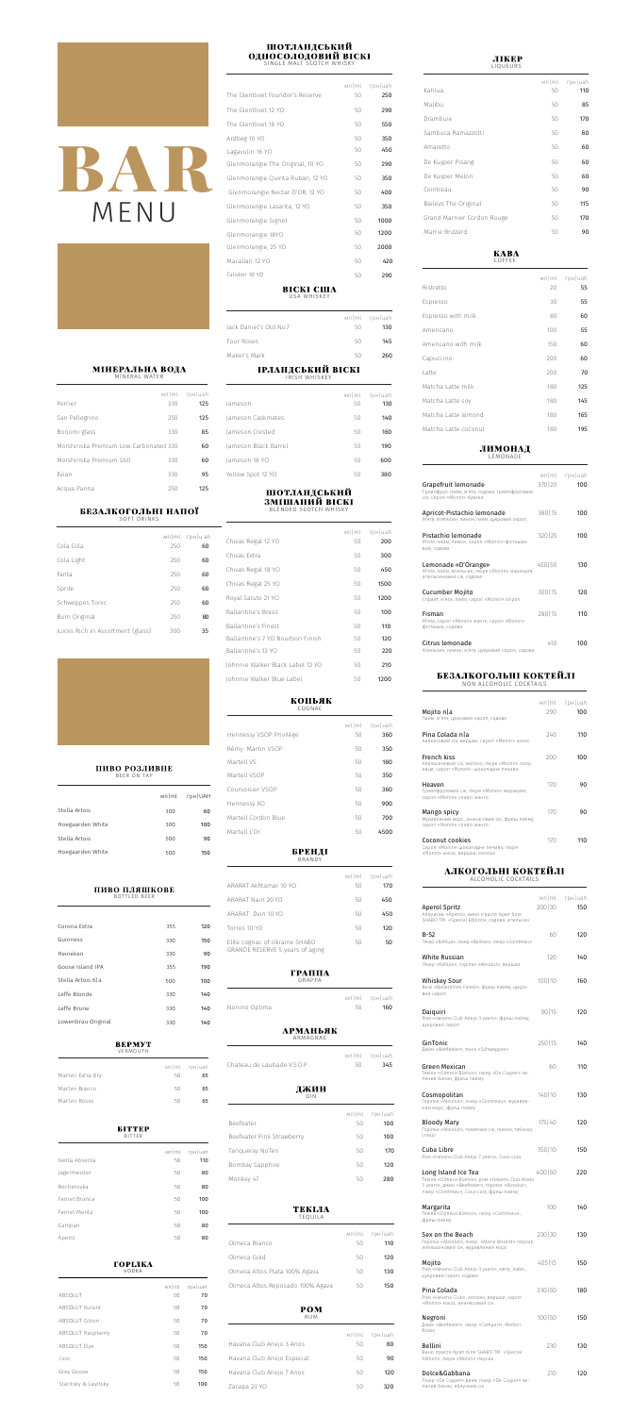BAR

MENU

## МІНЕРАЛЬНА ВОДА MINERAL WATER

SOFT DRINKS

| $r$ p $H$   uah<br>125 | мл ml<br>330 | Perrier                               |
|------------------------|--------------|---------------------------------------|
| 125                    | 250          | San Pellegrino                        |
| 85                     | 330          | Borjomi glass                         |
| 60                     |              | Morshinska Premium Low Carbonated 330 |
| 60                     | 330          | Morshinska Premium Still              |
| 95                     | 330          | Evian                                 |
| 125                    | 250          | Acqua Panna                           |

# БЕЗАЛКОГОЛЬНІ НАПОЇ

| Cola Cola                         | мл ml<br>250 | $r$ p $H$  u ah<br>60 |
|-----------------------------------|--------------|-----------------------|
| Cola Light                        | 250          | 60                    |
| Fanta                             | 250          | 60                    |
| Sprite                            | 250          | 60                    |
| Schweppes Tonic                   | 250          | 60                    |
| Burn Original                     | 250          | 80                    |
| Juices Rich in Assortment (glass) | 300          | 35                    |

#### ПИВО РОЗЛИВНЕ BEER ON TAP

#### ПИВО ПЛЯШКОВЕ BOTTLED BEER

|                  | мл ml | грн UAH |
|------------------|-------|---------|
| Stella Artois    | 300   | 60      |
| Hoegaarden White | 300   | 100     |
| Stella Artois    | 500   | 90      |
| Hoegaarden White | 500   | 150     |

| Corona Extra        | 355 | 120 |
|---------------------|-----|-----|
| Guinness            | 330 | 150 |
| Heineken            | 330 | 90  |
| Goose Island IPA    | 355 | 190 |
| Stella Artois 6   a | 500 | 100 |
| Leffe Blonde        | 330 | 140 |
| Leffe Brune         | 330 | 140 |
| Lowenbrau Original  | 330 | 140 |

| VERMOUTH          |    |               |
|-------------------|----|---------------|
|                   |    | мл ml грн uah |
| Martini Extra Dry | 50 | 65            |
| Martini Bianco    | 50 | 65            |
| Martini Rosso     | 50 | 65            |

| <b>BITTEP</b><br><b>BITTER</b> |             |                  |
|--------------------------------|-------------|------------------|
| Xenta Absenta                  | мл ml<br>50 | грн   uah<br>110 |
| Jagermeister                   | 50          | 80               |
| Becherovka                     | 50          | 80               |
| Fernet Branca                  | 50          | 100              |
| Fernet Menta                   | 50          | 100              |
| Campari                        | 50          | 80               |
| Aperol                         | 50          | 80               |

## ІРЛАНДСЬКИЙ ВІСКІ IRISH WHISKEY

| ГОРІЛКА<br>VODKA      |             |                 |
|-----------------------|-------------|-----------------|
| <b>ABSOLUT</b>        | мл ml<br>50 | грн   uah<br>70 |
| <b>ABSOLUT Kurant</b> | 50          | 70              |
| ABSOLUT Citron        | 50          | 70              |
| ABSOLUT Raspberry     | 50          | 70              |
| <b>ABSOLUT Elyx</b>   | 50          | 150             |
| Ciroc                 | 50          | 150             |
| Grey Goose            | 50          | 150             |
| Staritsky & Levitsky  | 50          | 100             |

## **ГРАППА** GRAPPA

# ШОТЛАНДСЬКИЙ **OДНОСОЛОДОВИЙ BICKI**

|                                  |    | мл ml грн uah |
|----------------------------------|----|---------------|
| The Glentlivet Founder's Reserve | 50 | 250           |
| The Glentlivet 12 YO             | 50 | 290           |
| The Glentlivet 18 YO             | 50 | 550           |
| Ardbeg 10 YO                     | 50 | 350           |
| Lagavulin 16 YO                  | 50 | 450           |
| Glenmorangie The Original, 10 YO | 50 | 290           |
| Glenmorangie Quinta Ruban, 12 YO | 50 | 350           |
| Glenmorangie Nectar D'OR, 12 YO  | 50 | 400           |
| Glenmorangie Lasanta, 12 YO      | 50 | 350           |
| Glenmorangie Signet              | 50 | 1000          |
| Glenmorangie 18YO                | 50 | 1200          |
| Glenmorangie, 25 YO              | 50 | 2000          |
| Macallan 12 YO                   | 50 | 420           |
| Talisker 10 YO                   | 50 | 290           |

**BICKI CIIIA** 

| USA WHISKEY |  |
|-------------|--|
|             |  |

| Jack Daniel's Old No.7 | 50 - | $M/ml$ rp $H$  uah<br>130 |
|------------------------|------|---------------------------|
| Four Roses             | 50.  | 145                       |
| Maker's Mark           | 50.  | 260                       |

#### **KABA** COFFEE

BLENDED SCOTCH WHISKY

|                      |    | $M/ml$ rp $H$ uah |
|----------------------|----|-------------------|
| Jameson              | 50 | 130               |
| Jameson Caskmates    | 50 | 140               |
| Jameson Crested      | 50 | 160               |
| Jameson Black Barrel | 50 | 190               |
| Jameson 18 YO        | 50 | 600               |
| Yellow Spot 12 YO    | 50 | 380               |

# ШОТЛАНДСЬКИЙ<br>ЗМІШАНИЙ ВІСКІ

|                                  | мл ml | $r$ p $H$   uah |
|----------------------------------|-------|-----------------|
| Chivas Regal 12 YO               | 50    | 200             |
| Chivas Extra                     | 50    | 300             |
| Chivas Regal 18 YO               | 50    | 450             |
| Chivas Regal 25 YO               | 50    | 1500            |
| Royal Salute 21 YO               | 50    | 1200            |
| Ballantine's Brasil              | 50    | 100             |
| <b>Ballantine's Finest</b>       | 50    | 110             |
| Ballantine's 7 YO Bourbon Finish | 50    | 120             |
| Ballantine's 12 YO               | 50    | 220             |
| Johnnie Walker Black Label 12 YO | 50    | 210             |
| Johnnie Walker Blue Label        | 50    | 1200            |

## **КОНЬЯК**

## COGNAC

## BRANDY

ARMAGNAC

| ARARAT Akhtamar 10 YO                                            | мл ml<br>50 | $r$ p $H$   uah<br>170 |
|------------------------------------------------------------------|-------------|------------------------|
| ARARAT Nairi 20 YO                                               | 50          | 450                    |
| ARARAT Dvin 10 YO                                                | 50          | 450                    |
| Torres 10 YO                                                     | 50          | 120                    |
| Elite cognac of Ukraine SHABO<br>GRANDE RESERVE 5 years of aging | 50          | 50                     |

|               |     | мл ml грн uah |
|---------------|-----|---------------|
| Nonino Optima | 50. | 160           |
|               |     |               |

## **АРМАНЬЯК**

| Hennessy VSOP Privilège | мл $ m $<br>50 | грн uah<br>360 |
|-------------------------|----------------|----------------|
| Rémy Martin VSOP        | 50             | 350            |
| Martell VS              | 50             | 180            |
| Martell VSOP            | 50             | 350            |
| Courvoisier VSOP        | 50             | 360            |
| Hennessy XO             | 50             | 900            |
| Martell Cordon Blue     | 50             | 700            |
| Martell L'Or            | 50             | 4500           |
| БРЕНДІ                  |                |                |

| Chateau de Laubade V.S.O.P       | мл ml<br>50                                                                                                                                                                                                                                                                                                                                                                                                                                                                                                                                                                                                                                                                            | $r$ p $H$   uah<br>345 |
|----------------------------------|----------------------------------------------------------------------------------------------------------------------------------------------------------------------------------------------------------------------------------------------------------------------------------------------------------------------------------------------------------------------------------------------------------------------------------------------------------------------------------------------------------------------------------------------------------------------------------------------------------------------------------------------------------------------------------------|------------------------|
| джин<br>GIN                      |                                                                                                                                                                                                                                                                                                                                                                                                                                                                                                                                                                                                                                                                                        |                        |
| Beefeater                        | $M\nrightleftharpoons N\nrightleftharpoons N\nrightleftharpoons N\nrightleftharpoons N\nrightleftharpoons N\nrightleftharpoons N\nrightleftharpoons N\nrightleftharpoons N\nrightleftharpoons N\nrightleftharpoons N\nrightleftharpoons N\nrightleftharpoons N\nrightleftharpoons N\nrightleftharpoons N\nrightleftharpoons N\nrightleftharpoons N\nrightleftharpoons N\nrightleftharpoons N\nrightleftharpoons N\nrightleftharpoons N\nrightleftharpoons N\nrightleftharpoons N\nrightleftharpoons N\nrightleftharpoons N\nrightleftharpoons N\nrightleftharpoons N\nrightleftharpoons N\nrightleftharpoons N\nrightleftharpoons N\nrightleftharpoons N\nrightleftharpoons N\n$<br>50 | $r$ p $H$   uah<br>100 |
| Beefeater Pink Strawberry        | 50                                                                                                                                                                                                                                                                                                                                                                                                                                                                                                                                                                                                                                                                                     | 100                    |
| Tanqueray NoTen                  | 50                                                                                                                                                                                                                                                                                                                                                                                                                                                                                                                                                                                                                                                                                     | 170                    |
| Bombay Sapphire                  | 50                                                                                                                                                                                                                                                                                                                                                                                                                                                                                                                                                                                                                                                                                     | 120                    |
| Monkey 47                        | 50                                                                                                                                                                                                                                                                                                                                                                                                                                                                                                                                                                                                                                                                                     | 280                    |
| Olmeca Blanco                    | мл ml<br>50                                                                                                                                                                                                                                                                                                                                                                                                                                                                                                                                                                                                                                                                            | грн   uah<br>110       |
|                                  |                                                                                                                                                                                                                                                                                                                                                                                                                                                                                                                                                                                                                                                                                        |                        |
| Olmeca Gold                      | 50                                                                                                                                                                                                                                                                                                                                                                                                                                                                                                                                                                                                                                                                                     | 120                    |
| Olmeca Altos Plata 100% Agava    | 50                                                                                                                                                                                                                                                                                                                                                                                                                                                                                                                                                                                                                                                                                     | 130                    |
| Olmeca Altos Reposado 100% Agava | 50                                                                                                                                                                                                                                                                                                                                                                                                                                                                                                                                                                                                                                                                                     | 150                    |
| POM<br>RUM                       |                                                                                                                                                                                                                                                                                                                                                                                                                                                                                                                                                                                                                                                                                        |                        |
|                                  | $M\nrightleftharpoons M\nrightleftharpoons M\nrightleftharpoons M\nrightleftharpoons M\nrightleftharpoons M\nrightleftharpoons M\nrightleftharpoons M\nrightleftharpoons M\nrightleftharpoons M\nrightleftharpoons M\nrightleftharpoons M\nrightleftharpoons M\nrightleftharpoons M\nrightleftharpoons M\nrightleftharpoons M\nrightleftharpoons M\nrightleftharpoons M\nrightleftharpoons M\nrightleftharpoons M\nrightleftharpoons M\nrightleftharpoons M\nrightleftharpoons M\nrightleftharpoons M\nrightleftharpoons M\nrightleftharpoons M\nrightleftharpoons M\nrightleftharpoons M\nrightleftharpoons M\nrightleftharpoons M\nrightleftharpoons M\nrightleftharpoons M\n$       | $r$ p $H$   uah        |
| Havana Club Anejo 3 Anos         | 50                                                                                                                                                                                                                                                                                                                                                                                                                                                                                                                                                                                                                                                                                     | 80                     |
| Havana Club Anejo Especial       | 50                                                                                                                                                                                                                                                                                                                                                                                                                                                                                                                                                                                                                                                                                     | 90                     |
| Havana Club Anejo 7 Anos         | 50                                                                                                                                                                                                                                                                                                                                                                                                                                                                                                                                                                                                                                                                                     | 120                    |
| Zacapa 23 YO                     | 50                                                                                                                                                                                                                                                                                                                                                                                                                                                                                                                                                                                                                                                                                     | 320                    |

## ЛИМОНАД LEMONADE

| LIQUEURS           |                                                                                                                                                                                                                                                                                                                                                                                                                                                                                                                                                                                                                                                                                        |                |
|--------------------|----------------------------------------------------------------------------------------------------------------------------------------------------------------------------------------------------------------------------------------------------------------------------------------------------------------------------------------------------------------------------------------------------------------------------------------------------------------------------------------------------------------------------------------------------------------------------------------------------------------------------------------------------------------------------------------|----------------|
| Kahlua             | $M\nrightleftharpoons M\nrightleftharpoons M\nrightleftharpoons M\nrightleftharpoons M\nrightleftharpoons M\nrightleftharpoons M\nrightleftharpoons M\nrightleftharpoons M\nrightleftharpoons M\nrightleftharpoons M\nrightleftharpoons M\nrightleftharpoons M\nrightleftharpoons M\nrightleftharpoons M\nrightleftharpoons M\nrightleftharpoons M\nrightleftharpoons M\nrightleftharpoons M\nrightleftharpoons M\nrightleftharpoons M\nrightleftharpoons M\nrightleftharpoons M\nrightleftharpoons M\nrightleftharpoons M\nrightleftharpoons M\nrightleftharpoons M\nrightleftharpoons M\nrightleftharpoons M\nrightleftharpoons M\nrightleftharpoons M\nrightleftharpoons M\n$<br>50 | грн uah<br>110 |
| Malibu             | 50                                                                                                                                                                                                                                                                                                                                                                                                                                                                                                                                                                                                                                                                                     | 85             |
| Drambuie           | 50                                                                                                                                                                                                                                                                                                                                                                                                                                                                                                                                                                                                                                                                                     | 170            |
| Sambuca Ramazzotti | 50                                                                                                                                                                                                                                                                                                                                                                                                                                                                                                                                                                                                                                                                                     | 80             |
| Amaretto           | 50                                                                                                                                                                                                                                                                                                                                                                                                                                                                                                                                                                                                                                                                                     | 60             |
| De Kuyper Pisang   | 50                                                                                                                                                                                                                                                                                                                                                                                                                                                                                                                                                                                                                                                                                     | 60             |
| De Kuyper Melon    | 50                                                                                                                                                                                                                                                                                                                                                                                                                                                                                                                                                                                                                                                                                     | 60             |
|                    |                                                                                                                                                                                                                                                                                                                                                                                                                                                                                                                                                                                                                                                                                        |                |

**JIKEP** 

Baileys The Original

Grand Marnier Cordon Rouge

Cointreau

Marrie Brizzard

115

170

90

90

50

50

50

50

|                      | мл ml | $r$ p $H$  uah |
|----------------------|-------|----------------|
| Ristretto            | 20    | 55             |
| Espresso             | 30    | 55             |
| Espresso with milk   | 80    | 60             |
| Americano            | 100   | 55             |
| Americano with milk  | 150   | 60             |
| Capuccino            | 200   | 60             |
| Latte                | 200   | 70             |
| Matcha Latte milk    | 180   | 125            |
| Matcha Latte soy     | 180   | 145            |
| Matcha Latte almond  | 180   | 165            |
| Matcha Latte coconut | 180   | 195            |

NON ALCOHOLIC COCKTAILS

| Mojito n a<br>Лайм, м'ята, цукровий сироп, содова                                                   | 290 | мл ml грн uah<br>100 |
|-----------------------------------------------------------------------------------------------------|-----|----------------------|
| Pina Colada n a<br>Ананасовий сік, вершки, сироп «Monin» кокос                                      | 240 | 110                  |
| French kiss<br>Апельсиновий сік, молоко, пюре «Monin» полу-<br>ниця, сироп «Monin» шоколадне печиво | 200 | 100                  |
| Heaven<br>Грейпфрутовий сік, пюре «Monin» маракуйя,<br>сироп «Monin» спайсі манго                   | 170 | 90                   |
| Mango spicy<br>Журавлиний морс, ананасовий сік, фреш лайму,<br>сироп «Monin» спайсі манго           | 170 | 90                   |
| Coconut cookies<br>Сироп «Monin» шоколадне печиво, пюре<br>«Monin» кокос, вершки, молоко            | 170 | 110                  |

## АЛКОГОЛЬНІ КОКТЕЙЛІ

ALCOHOLIC COCKTAILS

|                                                                                                                                                                     | мл ml    | $r$ p $H$   uah |
|---------------------------------------------------------------------------------------------------------------------------------------------------------------------|----------|-----------------|
| <b>Aperol Spritz</b><br>Aперитив «Aperol», вино ігристе брют біле<br>SHABO TM «Special Edition», содова, апельсин                                                   | 200 30   | 150             |
| $B-52$<br>Лікер «Kahlua», лікер «Baileys», лікер «Cointreau»                                                                                                        | 60       | 120             |
| White Russian<br>Лікер «Kahlua», горілка «Absolut», вершки                                                                                                          | 120      | 140             |
| Whiskey Sour<br>Bicki «Ballantines Finest», фреш лайму, цукро-<br>вий сироп                                                                                         | 100 10   | 160             |
| Daiquiri<br>Ром «Havana Club Anejo 3 years», фреш лайму,<br>цукровий сироп                                                                                          | 90 15    | 120             |
| GinTonic<br>Джин «Beefeater», тонік «Schweppes»                                                                                                                     | 250   15 | 140             |
| Green Mexican<br>Текіла «Olmeca Blanco», лікер «De Cuyper» зе-<br>лений банан, фреш лайму                                                                           | 60       | 110             |
| Cosmopolitan<br>Горілка «Absolut», лікер «Cointreau», журавли-<br>ний морс, фреш лайму                                                                              | 140 10   | 130             |
| Bloody Mary<br>Горілка «Absolut», томатний сік, лимон, табаско,<br>спеції                                                                                           | 175/40   | 120             |
| Cuba Libre<br>Ром «Havana Club Anejo 7 years», Coca-cola,                                                                                                           | 350 10   | 150             |
| Long Island Ice Tea<br>Текіла «Olmeca Blanco», ром «Havana Club Anejo<br>3 years», джин «Beefeater», горілка «Absolut»,<br>лікер «Cointreau», Coca-cola, фреш лайму | 400 50   | 220             |
| Margarita<br>Текіла «Olmeca Blanco», лікер «Cointreau»,<br>фреш лайму                                                                                               | 100      | 140             |
| Sex on the Beach<br>Горілка «Absolut», лікер «Marie Brizard» персик,<br>апельсиновий сік, журавлиний морс                                                           | 230 30   | 130             |
| Mojito<br>Ром «Havana Club Anejo 3 years», мята, лайм,<br>цукровий сироп, содова                                                                                    | 405 15   | 150             |
| Pina Colada<br>Ром «Havana Club», молоко, вершки, сироп<br>«Monin» кокос, ананасовий сік                                                                            | 330 50   | 180             |
| Negroni<br>Джин «Beefeater», лікер «Campari», Martini<br>Rosso                                                                                                      | 100 50   | 150             |
| <b>Bellini</b><br>Вино ігристе брют біле SHABO TM «Special<br>Edition», пюре «Monin» персик                                                                         | 230      | 130             |
| Dolce&Gabbana<br>Лікер «De Cuyper» диня, лікер «De Cuyper» зе-                                                                                                      | 210      | 120             |

лений банан, яблучний сік



#### Apricot-Pistachio lemonade М'ята, апельсин, лимон, лайм, цукровий сироп,

|                                                                                                   |          | $M/ml$ rp $H$ uah |
|---------------------------------------------------------------------------------------------------|----------|-------------------|
| Grapefruit lemonade<br>Грейпфрут, лайм, м'ята, содова, грейпфрутовий<br>сік, сироп «Monin» бузина | 370 20   | 100               |
| Apricot-Pistachio lemonade                                                                        | 380   15 | 100               |

| Pistachio lemonade<br>М'ята, лайм, лимон, сироп «Monin» фісташко-<br>вий, содова                 | 320 25   | 100 |
|--------------------------------------------------------------------------------------------------|----------|-----|
| Lemonade «D'Orange»<br>М'ята, лайм, апельсин, пюре «Monin» маракуйя,<br>апельсиновий сік, содова | 450 50   | 130 |
| Cucumber Mojito<br>Спрайт, м'ята, лайм, сироп «Monin» огірок                                     | 300   15 | 120 |
| <b>Fisman</b><br>М'ята, сироп «Monin» манго, сироп «Monin»<br>фісташка, содова                   | 280   15 | 110 |
| Citrus lemonade                                                                                  |          |     |

## БЕЗАЛКОГОЛЬНІ КОКТЕЙЛІ

Апельсин, лимон, м'ята, цукровий сироп, содова

100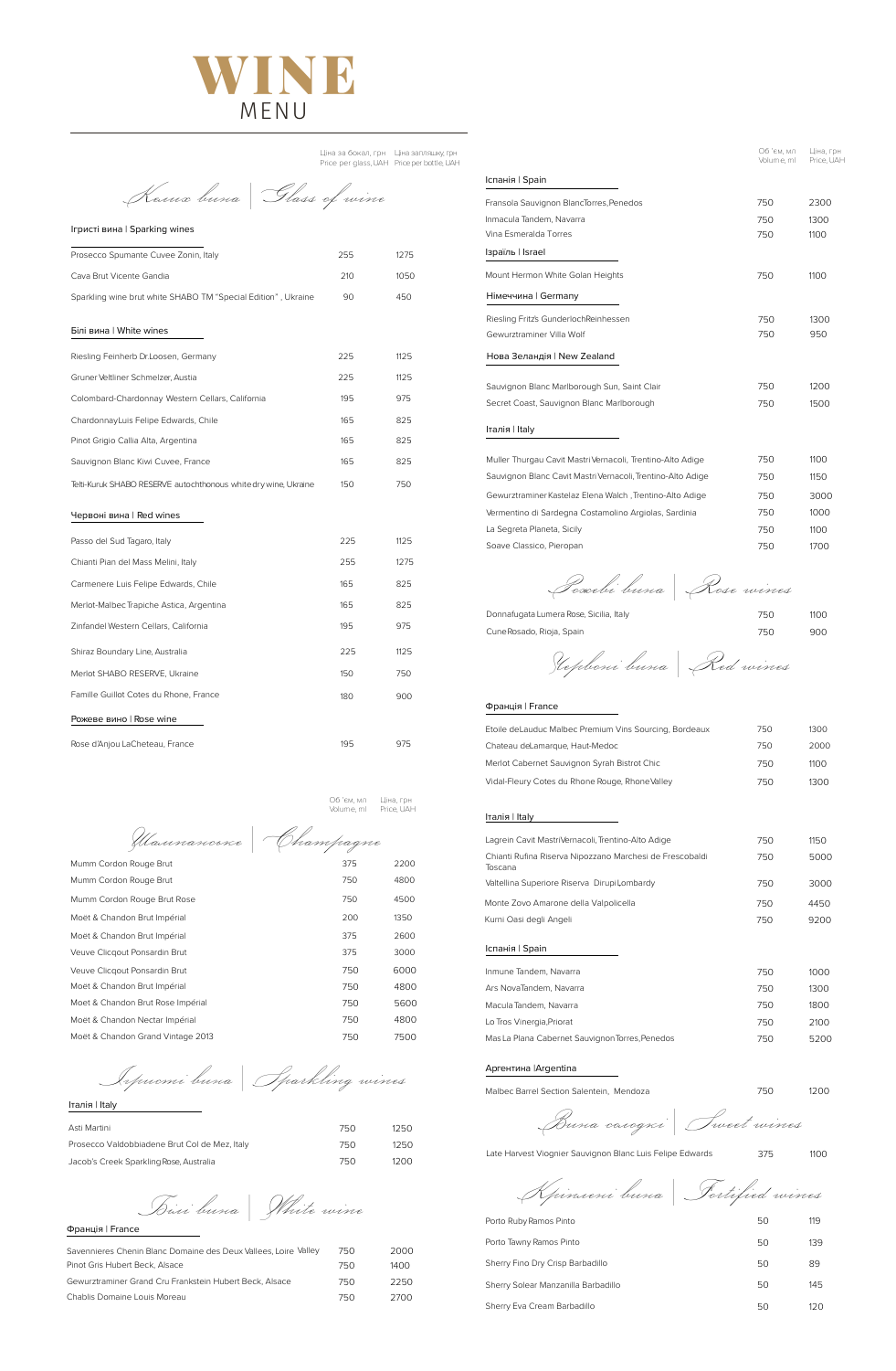*Iгристi вина | Sparkling wines*

Iталія | Italy

| Asti Martini                                  | 750. | 1250 |
|-----------------------------------------------|------|------|
| Prosecco Valdobbiadene Brut Col de Mez, Italy | 750. | 1250 |
| Jacob's Creek Sparkling Rose, Australia       | 750. | 1200 |

*Червонi вина | Red wines*

## Франція | France

| Etoile deLauduc Malbec Premium Vins Sourcing, Bordeaux | 750 | 1300 |
|--------------------------------------------------------|-----|------|
| Chataau dalamargus Haut Modoc                          |     | nnnn |

| Chateau deLamarque, Haut-Medoc                  | 750  | 2000  |
|-------------------------------------------------|------|-------|
| Merlot Cabernet Sauvignon Syrah Bistrot Chic    | 750. | 1100  |
| Vidal-Fleury Cotes du Rhone Rouge, Rhone Valley | 750- | 1300. |

#### Італія | Italy

Ціна за бокал, грн Ціна запляшку, грн Price per glass, UAH Priceper bottle, UAH

#### Аргентина |Argentina

Malbec Barrel Section Salentein, Mendoza 1200 1200

*Вина солодкi | Sweet wines*

Late Harvest Viognier Sauvignon Blanc Luis Felipe Edwards 375 1100

*Крiпленi вина | Fortified wines*

| Porto Ruby Ramos Pinto              | 50 | 119 |
|-------------------------------------|----|-----|
| Porto Tawny Ramos Pinto             | 50 | 139 |
| Sherry Fino Dry Crisp Barbadillo    | 50 | 89  |
| Sherry Solear Manzanilla Barbadillo | 50 | 145 |
| Sherry Eva Cream Barbadillo         | 50 | 120 |

*Келих вина | Glass of wine*

Ігристi вина | Sparking wines

| Prosecco Spumante Cuvee Zonin, Italy                            | 255 | 1275 |
|-----------------------------------------------------------------|-----|------|
| Cava Brut Vicente Gandia                                        | 210 | 1050 |
| Sparkling wine brut white SHABO TM "Special Edition", Ukraine   | 90  | 450  |
| Білі вина   White wines                                         |     |      |
| Riesling Feinherb Dr.Loosen, Germany                            | 225 | 1125 |
| Gruner Veltliner Schmelzer, Austia                              | 225 | 1125 |
| Colombard-Chardonnay Western Cellars, California                | 195 | 975  |
| ChardonnayLuis Felipe Edwards, Chile                            | 165 | 825  |
| Pinot Grigio Callia Alta, Argentina                             | 165 | 825  |
| Sauvignon Blanc Kiwi Cuvee, France                              | 165 | 825  |
| Telti-Kuruk SHABO RESERVE autochthonous white dry wine, Ukraine | 150 | 750  |
| Червоні вина   Red wines                                        |     |      |
| Passo del Sud Tagaro, Italy                                     | 225 | 1125 |
| Chianti Pian del Mass Melini, Italy                             | 255 | 1275 |
| Carmenere Luis Felipe Edwards, Chile                            | 165 | 825  |
| Merlot-Malbec Trapiche Astica, Argentina                        | 165 | 825  |
| Zinfandel Western Cellars, California                           | 195 | 975  |
| Shiraz Boundary Line, Australia                                 | 225 | 1125 |
| Merlot SHABO RESERVE, Ukraine                                   | 150 | 750  |
| Famille Guillot Cotes du Rhone, France                          | 180 | 900  |
| Рожеве вино   Rose wine                                         |     |      |

| Lagrein Cavit MastriVernacoli, Trentino-Alto Adige                  | 750 | 1150 |
|---------------------------------------------------------------------|-----|------|
| Chianti Rufina Riserva Nipozzano Marchesi de Frescobaldi<br>Toscana | 750 | 5000 |
| Valtellina Superiore Riserva Dirupi Lombardy                        | 750 | 3000 |
| Monte Zovo Amarone della Valpolicella                               | 750 | 4450 |
| Kurni Oasi degli Angeli                                             | 750 | 9200 |
| Іспанія   Spain                                                     |     |      |
| Inmune Tandem, Navarra                                              | 750 | 1000 |
| Ars NovaTandem, Navarra                                             | 750 | 1300 |
| Macula Tandem, Navarra                                              | 750 | 1800 |
| Lo Tros Vinergia, Priorat                                           | 750 | 2100 |
| Mas La Plana Cabernet Sauvignon Torres, Penedos                     | 750 | 5200 |

| Donnafugata Lumera Rose, Sicilia, Italy | 750 | 1100 |
|-----------------------------------------|-----|------|
| Cune Rosado, Rioja, Spain               | 750 | 900  |



|                                                             | Об 'єм, мл<br>Volume, ml | Ціна, грн<br>Price, UAH |
|-------------------------------------------------------------|--------------------------|-------------------------|
| Іспанія   Spain                                             |                          |                         |
| Fransola Sauvignon BlancTorres, Penedos                     | 750                      | 2300                    |
| Inmacula Tandem, Navarra                                    | 750                      | 1300                    |
| Vina Esmeralda Torres                                       | 750                      | 1100                    |
| Ізраїль   Israel                                            |                          |                         |
| Mount Hermon White Golan Heights                            | 750                      | 1100                    |
| Німеччина   Germany                                         |                          |                         |
| Riesling Fritz's GunderlochReinhessen                       | 750                      | 1300                    |
| Gewurztraminer Villa Wolf                                   | 750                      | 950                     |
| Нова Зеландія   New Zealand                                 |                          |                         |
| Sauvignon Blanc Marlborough Sun, Saint Clair                | 750                      | 1200                    |
| Secret Coast, Sauvignon Blanc Marlborough                   | 750                      | 1500                    |
| Італія I Italy                                              |                          |                         |
| Muller Thurgau Cavit Mastri Vernacoli, Trentino-Alto Adige  | 750                      | 1100                    |
| Sauvignon Blanc Cavit Mastri Vernacoli, Trentino-Alto Adige | 750                      | 1150                    |
| Gewurztraminer Kastelaz Elena Walch, Trentino-Alto Adige    | 750                      | 3000                    |
| Vermentino di Sardegna Costamolino Argiolas, Sardinia       | 750                      | 1000                    |
| La Segreta Planeta, Sicily                                  | 750                      | 1100                    |
| Soave Classico, Pieropan                                    | 750                      | 1700                    |
| Poscebi buna   Rose wines                                   |                          |                         |

*Шампанське | Champagnе* Moët & Chandon Brut Impérial and a series and a series and states and states are series and states and states  $375$ Veuve Clicqout Ponsardin Brut 375 3000 Mumm Cordon Rouge Brut 375 2200 Mumm Cordon Rouge Brut 750 750 4800 Mumm Cordon Rouge Brut Rose 4500 Moët & Chandon Brut Impérial 200 1350 Moët & Chandon Brut Impérial and a control of the 1990 and 2000 and 4800 and 4800 and 4800 and 4800 and 4800 and 4800 and 4800 and 4800 and 4800 and 4800 and 4800 and 4800 and 4800 and 4800 and 4800 and 4800 and 4800 and 4 Moet & Chandon Brut Rose Impérial **750** 5600 Moët & Chandon Nectar Impérial and a mortuus control of the 1800 4800 Moët & Chandon Grand Vintage 2013 750 7500 7500 Veuve Cliсqout Ponsardin Brut 750 6000

Rose d'Anjou LaCheteau, France 195 195 195 1975

*Бiлi винa | White wine*

#### Франція | France

| Savennieres Chenin Blanc Domaine des Deux Vallees, Loire Valley | 75() | 2000  |
|-----------------------------------------------------------------|------|-------|
| Pinot Gris Hubert Beck, Alsace                                  | 750  | 1400. |
| Gewurztraminer Grand Cru Frankstein Hubert Beck, Alsace         | 750. | 2250  |
| Chablis Domaine Louis Moreau                                    | 750  | 2700  |

Об 'єм, мл Ціна, грн Volume, ml Price, UAH